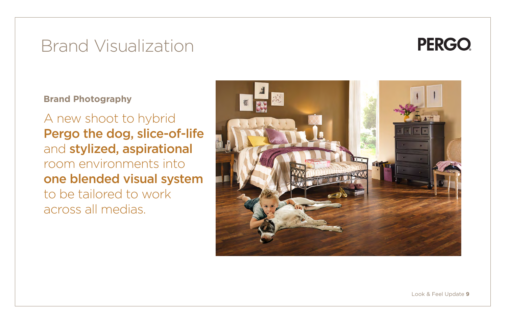## Brand Visualization

**Brand Photography**

A new shoot to hybrid Pergo the dog, slice-of-life and stylized, aspirational room environments into one blended visual system to be tailored to work across all medias.



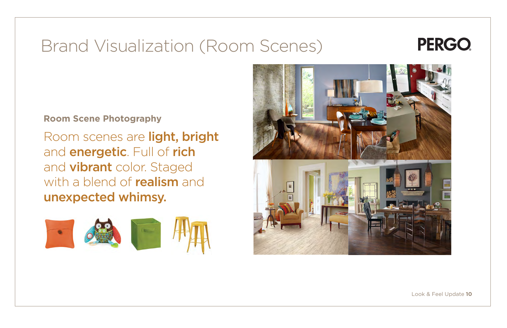# Brand Visualization (Room Scenes)

Room scenes are light, bright and **energetic**. Full of rich and **vibrant** color. Staged with a blend of **realism** and unexpected whimsy.







#### **Room Scene Photography**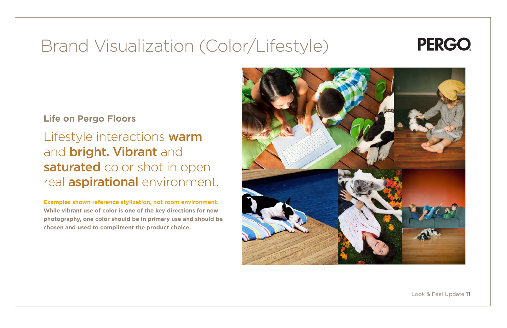## Brand Visualization (Color/Lifestyle)

#### **Life on Pergo Floors**

Lifestyle interactions warm and **bright. Vibrant** and saturated color shot in open real **aspirational** environment.

**Examples shown reference stylization, not room environment. While vibrant use of color is one of the key directions for new photography, one color should be in primary use and should be chosen and used to compliment the product choice.**



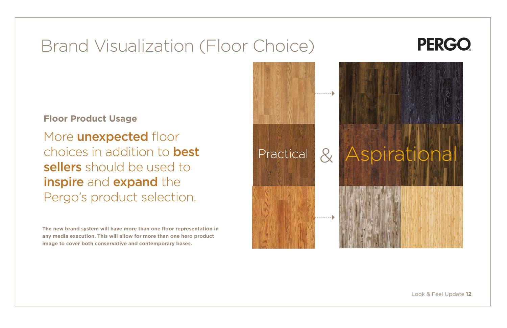## Brand Visualization (Floor Choice)

More **unexpected** floor choices in addition to best sellers should be used to inspire and expand the Pergo's product selection.

#### **Floor Product Usage**





**The new brand system will have more than one floor representation in any media execution. This will allow for more than one hero product image to cover both conservative and contemporary bases.**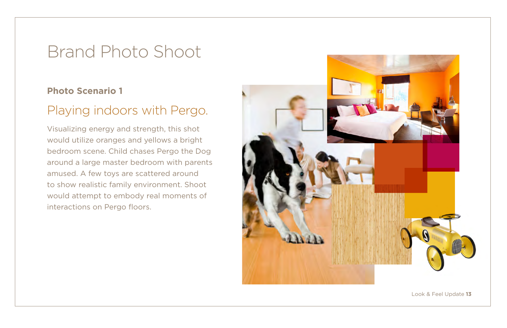#### **Photo Scenario 1**

### Playing indoors with Pergo.

Visualizing energy and strength, this shot would utilize oranges and yellows a bright bedroom scene. Child chases Pergo the Dog around a large master bedroom with parents amused. A few toys are scattered around to show realistic family environment. Shoot would attempt to embody real moments of interactions on Pergo floors.

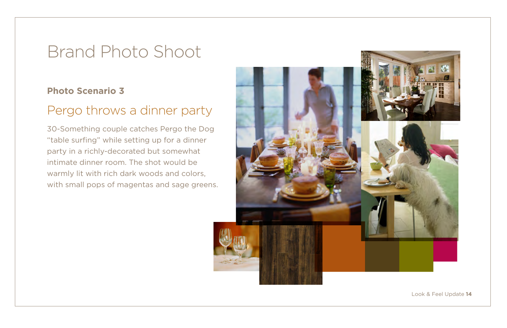#### **Photo Scenario 3**

### Pergo throws a dinner party

30-Something couple catches Pergo the Dog "table surfing" while setting up for a dinner party in a richly-decorated but somewhat intimate dinner room. The shot would be warmly lit with rich dark woods and colors, with small pops of magentas and sage greens.

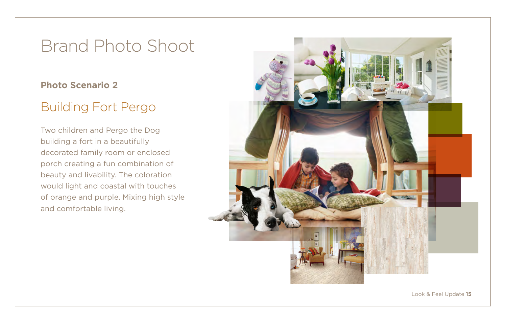#### **Photo Scenario 2**

### Building Fort Pergo

Two children and Pergo the Dog building a fort in a beautifully decorated family room or enclosed porch creating a fun combination of beauty and livability. The coloration would light and coastal with touches of orange and purple. Mixing high style and comfortable living.